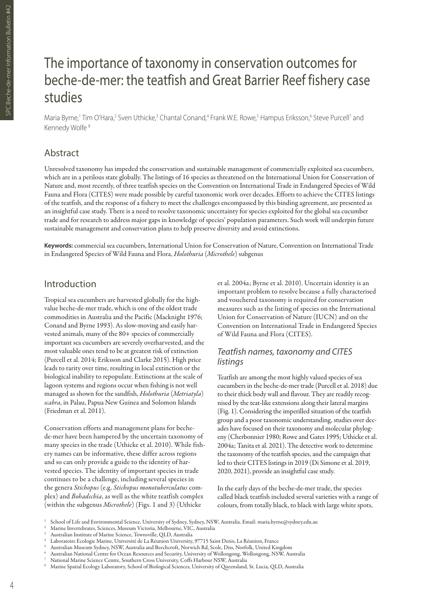# The importance of taxonomy in conservation outcomes for beche-de-mer: the teatfish and Great Barrier Reef fishery case studies

Maria Byrne,' Tim O'Hara,<sup>2</sup> Sven Uthicke,<sup>3</sup> Chantal Conand,<sup>4</sup> Frank W.E. Rowe,<sup>5</sup> Hampus Eriksson,<sup>6</sup> Steve Purcell<sup>7</sup> and Kennedy Wolfe<sup>8</sup>

# Abstract

Unresolved taxonomy has impeded the conservation and sustainable management of commercially exploited sea cucumbers, which are in a perilous state globally. The listings of 16 species as threatened on the International Union for Conservation of Nature and, most recently, of three teatfish species on the Convention on International Trade in Endangered Species of Wild Fauna and Flora (CITES) were made possible by careful taxonomic work over decades. Efforts to achieve the CITES listings of the teatfish, and the response of a fishery to meet the challenges encompassed by this binding agreement, are presented as an insightful case study. There is a need to resolve taxonomic uncertainty for species exploited for the global sea cucumber trade and for research to address major gaps in knowledge of species' population parameters. Such work will underpin future sustainable management and conservation plans to help preserve diversity and avoid extinctions.

**Keywords:** commercial sea cucumbers, International Union for Conservation of Nature, Convention on International Trade in Endangered Species of Wild Fauna and Flora, *Holothuria* (*Microthele*) subgenus

### Introduction

Tropical sea cucumbers are harvested globally for the highvalue beche-de-mer trade, which is one of the oldest trade commodities in Australia and the Pacific (Macknight 1976; Conand and Byrne 1993). As slow-moving and easily harvested animals, many of the 80+ species of commercially important sea cucumbers are severely overharvested, and the most valuable ones tend to be at greatest risk of extinction (Purcell et al. 2014; Eriksson and Clarke 2015). High price leads to rarity over time, resulting in local extinction or the biological inability to repopulate. Extinctions at the scale of lagoon systems and regions occur when fishing is not well managed as shown for the sandfish, *Holothuria* (*Metriatyla*) *scabra*, in Palau, Papua New Guinea and Solomon Islands (Friedman et al. 2011).

Conservation efforts and management plans for bechede-mer have been hampered by the uncertain taxonomy of many species in the trade (Uthicke et al. 2010). While fishery names can be informative, these differ across regions and so can only provide a guide to the identity of harvested species. The identity of important species in trade continues to be a challenge, including several species in the genera *Stichopus* (e.g. *Stichopus monotuberculatus* complex) and *Bohadschia*, as well as the white teatfish complex (within the subgenus *Microthele*) (Figs. 1 and 3) (Uthicke

et al. 2004a; Byrne et al. 2010). Uncertain identity is an important problem to resolve because a fully characterised and vouchered taxonomy is required for conservation measures such as the listing of species on the International Union for Conservation of Nature (IUCN) and on the Convention on International Trade in Endangered Species of Wild Fauna and Flora (CITES).

#### *Teatfish names, taxonomy and CITES listings*

Teatfish are among the most highly valued species of sea cucumbers in the beche-de-mer trade (Purcell et al. 2018) due to their thick body wall and flavour. They are readily recognised by the teat-like extensions along their lateral margins (Fig. 1). Considering the imperilled situation of the teatfish group and a poor taxonomic understanding, studies over decades have focused on their taxonomy and molecular phylogeny (Cherbonnier 1980; Rowe and Gates 1995; Uthicke et al. 2004a; Tanita et al. 2021). The detective work to determine the taxonomy of the teatfish species, and the campaign that led to their CITES listings in 2019 (Di Simone et al. 2019, 2020, 2021), provide an insightful case study.

In the early days of the beche-de-mer trade, the species called black teatfish included several varieties with a range of colours, from totally black, to black with large white spots,

<sup>1</sup> School of Life and Environmental Science, University of Sydney, Sydney, NSW, Australia. Email: maria.byrne@sydney.edu.au

<sup>2</sup> Marine Invertebrates, Sciences, Museum Victoria, Melbourne, VIC, Australia

<sup>3</sup> Australian Institute of Marine Science, Townsville, QLD, Australia

Laboratoire Ecologie Marine, Université de La Réunion University, 97715 Saint Denis, La Réunion, France

 $^5$  Australian Museum Sydney, NSW, Australia and Beechcroft, Norwich Rd, Scole, Diss, Norfolk, United Kingdom

 $^{\circ}~$  Australian National Centre for Ocean Resources and Security, University of Wollongong, Wollongong, NSW, Australia

<sup>7</sup> National Marine Science Centre, Southern Cross University, Coffs Harbour NSW, Australia

<sup>8</sup> Marine Spatial Ecology Laboratory, School of Biological Sciences, University of Queensland, St. Lucia, QLD, Australia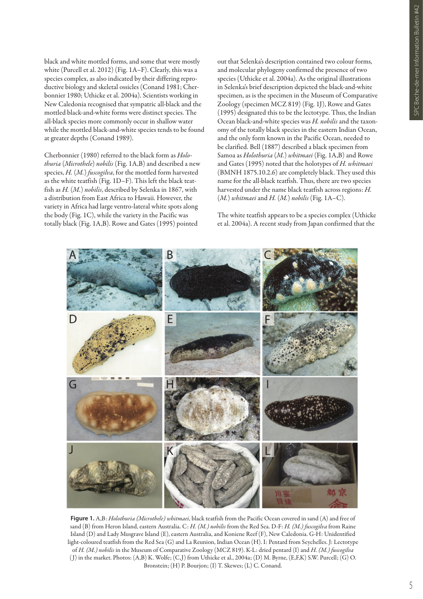black and white mottled forms, and some that were mostly white (Purcell et al. 2012) (Fig. 1A–F). Clearly, this was a species complex, as also indicated by their differing reproductive biology and skeletal ossicles (Conand 1981; Cherbonnier 1980; Uthicke et al. 2004a). Scientists working in New Caledonia recognised that sympatric all-black and the mottled black-and-white forms were distinct species. The all-black species more commonly occur in shallow water while the mottled black-and-white species tends to be found at greater depths (Conand 1989).

Cherbonnier (1980) referred to the black form as *Holothuria* (*Microthele*) *nobilis* (Fig. 1A,B) and described a new species, *H.* (*M.*) *fuscogilva*, for the mottled form harvested as the white teatfish (Fig. 1D–F). This left the black teatfish as *H.* (*M.*) *nobilis*, described by Selenka in 1867, with a distribution from East Africa to Hawaii. However, the variety in Africa had large ventro-lateral white spots along the body (Fig. 1C), while the variety in the Pacific was totally black (Fig. 1A,B). Rowe and Gates (1995) pointed

out that Selenka's description contained two colour forms, and molecular phylogeny confirmed the presence of two species (Uthicke et al. 2004a). As the original illustrations in Selenka's brief description depicted the black-and-white specimen, as is the specimen in the Museum of Comparative Zoology (specimen MCZ 819) (Fig. 1J), Rowe and Gates (1995) designated this to be the lectotype. Thus, the Indian Ocean black-and-white species was *H. nobilis* and the taxonomy of the totally black species in the eastern Indian Ocean, and the only form known in the Pacific Ocean, needed to be clarified. Bell (1887) described a black specimen from Samoa as *Holothuria* (*M.*) *whitmaei* (Fig. 1A,B) and Rowe and Gates (1995) noted that the holotypes of *H. whitmaei*  (BMNH 1875.10.2.6) are completely black. They used this name for the all-black teatfish. Thus, there are two species harvested under the name black teatfish across regions: *H.*  (*M.*) *whitmaei* and *H.* (*M.*) *nobilis* (Fig. 1A–C).

The white teatfish appears to be a species complex (Uthicke et al. 2004a). A recent study from Japan confirmed that the



**Figure 1.** A,B: *Holothuria (Microthele) whitmaei*, black teatfish from the Pacific Ocean covered in sand (A) and free of sand (B) from Heron Island, eastern Australia. C: *H. (M.) nobilis* from the Red Sea. D-F: *H. (M.) fuscogilva* from Raine Island (D) and Lady Musgrave Island (E), eastern Australia, and Koniene Reef (F), New Caledonia. G-H: Unidentified light-coloured teatfish from the Red Sea (G) and La Reunion, Indian Ocean (H). I: Pentard from Seychelles. J: Lectotype of *H. (M.) nobilis* in the Museum of Comparative Zoology (MCZ 819). K-L: dried pentard (I) and *H. (M.) fuscogilva* ( J) in the market. Photos: (A,B) K. Wolfe; (C,J) from Uthicke et al., 2004a; (D) M. Byrne, (E,F,K) S.W. Purcell; (G) O. Bronstein; (H) P. Bourjon; (I) T. Skewes; (L) C. Conand.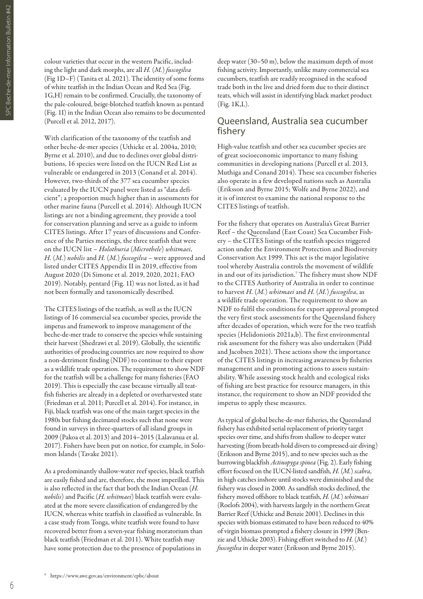colour varieties that occur in the western Pacific, including the light and dark morphs, are all *H.* (*M.*) *fuscogilva* (Fig 1D–F) (Tanita et al. 2021). The identity of some forms of white teatfish in the Indian Ocean and Red Sea (Fig. 1G,H) remain to be confirmed. Crucially, the taxonomy of the pale-coloured, beige-blotched teatfish known as pentard (Fig. 1I) in the Indian Ocean also remains to be documented (Purcell et al. 2012, 2017).

With clarification of the taxonomy of the teatfish and other beche-de-mer species (Uthicke et al. 2004a, 2010; Byrne et al. 2010), and due to declines over global distributions, 16 species were listed on the IUCN Red List as vulnerable or endangered in 2013 (Conand et al. 2014). However, two-thirds of the 377 sea cucumber species evaluated by the IUCN panel were listed as "data deficient"; a proportion much higher than in assessments for other marine fauna (Purcell et al. 2014). Although IUCN listings are not a binding agreement, they provide a tool for conservation planning and serve as a guide to inform CITES listings. After 17 years of discussions and Conference of the Parties meetings, the three teatfish that were on the IUCN list – *Holothuria* (*Microthele*) *whitmaei*, *H.* (*M.*) *nobilis* and *H.* (*M.*) *fuscogilva* – were approved and listed under CITES Appendix II in 2019, effective from August 2020 (Di Simone et al. 2019, 2020, 2021; FAO 2019). Notably, pentard (Fig. 1I) was not listed, as it had not been formally and taxonomically described.

The CITES listings of the teatfish, as well as the IUCN listings of 16 commercial sea cucumber species, provide the impetus and framework to improve management of the beche-de-mer trade to conserve the species while sustaining their harvest (Shedrawi et al. 2019). Globally, the scientific authorities of producing countries are now required to show a non-detriment finding (NDF) to continue to their export as a wildlife trade operation. The requirement to show NDF for the teatfish will be a challenge for many fisheries (FAO 2019). This is especially the case because virtually all teatfish fisheries are already in a depleted or overharvested state (Friedman et al. 2011; Purcell et al. 2014). For instance, in Fiji, black teatfish was one of the main target species in the 1980s but fishing decimated stocks such that none were found in surveys in three-quarters of all island groups in 2009 (Pakoa et al. 2013) and 2014–2015 (Lalavanua et al. 2017). Fishers have been put on notice, for example, in Solomon Islands (Tavake 2021).

As a predominantly shallow-water reef species, black teatfish are easily fished and are, therefore, the most imperilled. This is also reflected in the fact that both the Indian Ocean (*H. nobilis*) and Pacific (*H. whitmaei*) black teatfish were evaluated at the more severe classification of endangered by the IUCN, whereas white teatfish in classified as vulnerable. In a case study from Tonga, white teatfish were found to have recovered better from a seven-year fishing moratorium than black teatfish (Friedman et al. 2011). White teatfish may have some protection due to the presence of populations in

deep water (30–50 m), below the maximum depth of most fishing activity. Importantly, unlike many commercial sea cucumbers, teatfish are readily recognised in the seafood trade both in the live and dried form due to their distinct teats, which will assist in identifying black market product (Fig. 1K,L).

#### Queensland, Australia sea cucumber fishery

High-value teatfish and other sea cucumber species are of great socioeconomic importance to many fishing communities in developing nations (Purcell et al. 2013, Muthiga and Conand 2014). These sea cucumber fisheries also operate in a few developed nations such as Australia (Eriksson and Byrne 2015; Wolfe and Byrne 2022), and it is of interest to examine the national response to the CITES listings of teatfish.

For the fishery that operates on Australia's Great Barrier Reef – the Queensland (East Coast) Sea Cucumber Fishery – the CITES listings of the teatfish species triggered action under the Environment Protection and Biodiversity Conservation Act 1999. This act is the major legislative tool whereby Australia controls the movement of wildlife in and out of its jurisdiction.7 The fishery must show NDF to the CITES Authority of Australia in order to continue to harvest *H.* (*M.*) *whitmaei* and *H.* (*M.*) *fuscogilva*, as a wildlife trade operation. The requirement to show an NDF to fulfil the conditions for export approval prompted the very first stock assessments for the Queensland fishery after decades of operation, which were for the two teatfish species (Helidoniotis 2021a,b). The first environmental risk assessment for the fishery was also undertaken (Pidd and Jacobsen 2021). These actions show the importance of the CITES listings in increasing awareness by fisheries management and in promoting actions to assess sustainability. While assessing stock health and ecological risks of fishing are best practice for resource managers, in this instance, the requirement to show an NDF provided the impetus to apply these measures.

As typical of global beche-de-mer fisheries, the Queensland fishery has exhibited serial replacement of priority target species over time, and shifts from shallow to deeper water harvesting (from breath-hold divers to compressed-air diving) (Eriksson and Byrne 2015), and to new species such as the burrowing blackfish *Actinopyga spinea* (Fig. 2). Early fishing effort focused on the IUCN-listed sandfish, *H.* (*M.*) *scabra*, in high catches inshore until stocks were diminished and the fishery was closed in 2000. As sandfish stocks declined, the fishery moved offshore to black teatfish, *H.* (*M.*) *whitmaei* (Roelofs 2004), with harvests largely in the northern Great Barrier Reef (Uthicke and Benzie 2001). Declines in this species with biomass estimated to have been reduced to 40% of virgin biomass prompted a fishery closure in 1999 (Benzie and Uthicke 2003). Fishing effort switched to *H.* (*M.*) *fuscogilva* in deeper water (Eriksson and Byrne 2015).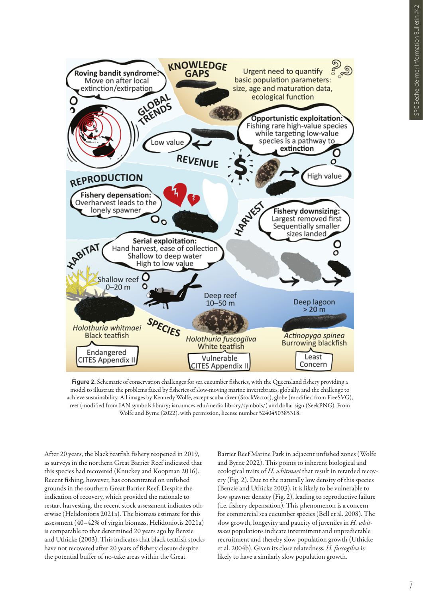

**Figure 2.** Schematic of conservation challenges for sea cucumber fisheries, with the Queensland fishery providing a model to illustrate the problems faced by fisheries of slow-moving marine invertebrates, globally, and the challenge to achieve sustainability. All images by Kennedy Wolfe, except scuba diver (StockVector), globe (modified from FreeSVG), reef (modified from IAN symbols library; ian.umces.edu/media-library/symbols/) and dollar sign (SeekPNG). From Wolfe and Byrne (2022), with permission, license number 5240450385318.

After 20 years, the black teatfish fishery reopened in 2019, as surveys in the northern Great Barrier Reef indicated that this species had recovered (Knuckey and Koopman 2016). Recent fishing, however, has concentrated on unfished grounds in the southern Great Barrier Reef. Despite the indication of recovery, which provided the rationale to restart harvesting, the recent stock assessment indicates otherwise (Helidoniotis 2021a). The biomass estimate for this assessment (40–42% of virgin biomass, Helidoniotis 2021a) is comparable to that determined 20 years ago by Benzie and Uthicke (2003). This indicates that black teatfish stocks have not recovered after 20 years of fishery closure despite the potential buffer of no-take areas within the Great

Barrier Reef Marine Park in adjacent unfished zones (Wolfe and Byrne 2022). This points to inherent biological and ecological traits of *H. whitmaei* that result in retarded recovery (Fig. 2). Due to the naturally low density of this species (Benzie and Uthicke 2003), it is likely to be vulnerable to low spawner density (Fig. 2), leading to reproductive failure (i.e. fishery depensation). This phenomenon is a concern for commercial sea cucumber species (Bell et al. 2008). The slow growth, longevity and paucity of juveniles in *H. whitmaei* populations indicate intermittent and unpredictable recruitment and thereby slow population growth (Uthicke et al. 2004b). Given its close relatedness, *H. fuscogilva* is likely to have a similarly slow population growth.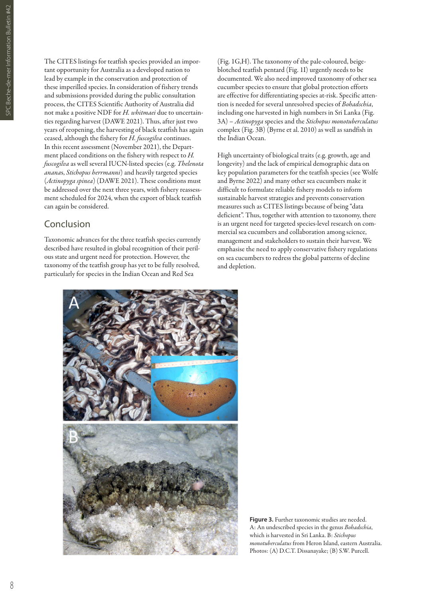The CITES listings for teatfish species provided an important opportunity for Australia as a developed nation to lead by example in the conservation and protection of these imperilled species. In consideration of fishery trends and submissions provided during the public consultation process, the CITES Scientific Authority of Australia did not make a positive NDF for *H. whitmaei* due to uncertainties regarding harvest (DAWE 2021). Thus, after just two years of reopening, the harvesting of black teatfish has again ceased, although the fishery for *H. fuscogilva* continues. In this recent assessment (November 2021), the Department placed conditions on the fishery with respect to *H. fuscogilva* as well several IUCN-listed species (e.g. *Thelenota anana*s, *Stichopus herrmanni*) and heavily targeted species (*Actinopyga spinea*) (DAWE 2021). These conditions must be addressed over the next three years, with fishery reassessment scheduled for 2024, when the export of black teatfish can again be considered.

# Conclusion

Taxonomic advances for the three teatfish species currently described have resulted in global recognition of their perilous state and urgent need for protection. However, the taxonomy of the teatfish group has yet to be fully resolved, particularly for species in the Indian Ocean and Red Sea

(Fig. 1G,H). The taxonomy of the pale-coloured, beigeblotched teatfish pentard (Fig. 1I) urgently needs to be documented. We also need improved taxonomy of other sea cucumber species to ensure that global protection efforts are effective for differentiating species at-risk. Specific attention is needed for several unresolved species of *Bohadschia*, including one harvested in high numbers in Sri Lanka (Fig. 3A) – *Actinopyga* species and the *Stichopus monotuberculatus* complex (Fig. 3B) (Byrne et al. 2010) as well as sandfish in the Indian Ocean.

High uncertainty of biological traits (e.g. growth, age and longevity) and the lack of empirical demographic data on key population parameters for the teatfish species (see Wolfe and Byrne 2022) and many other sea cucumbers make it difficult to formulate reliable fishery models to inform sustainable harvest strategies and prevents conservation measures such as CITES listings because of being "data deficient". Thus, together with attention to taxonomy, there is an urgent need for targeted species-level research on commercial sea cucumbers and collaboration among science, management and stakeholders to sustain their harvest. We emphasise the need to apply conservative fishery regulations on sea cucumbers to redress the global patterns of decline and depletion.



**Figure 3.** Further taxonomic studies are needed. A: An undescribed species in the genus *Bohadschia*, which is harvested in Sri Lanka. B: *Stichopus monotuberculatus* from Heron Island, eastern Australia. Photos: (A) D.C.T. Dissanayake; (B) S.W. Purcell.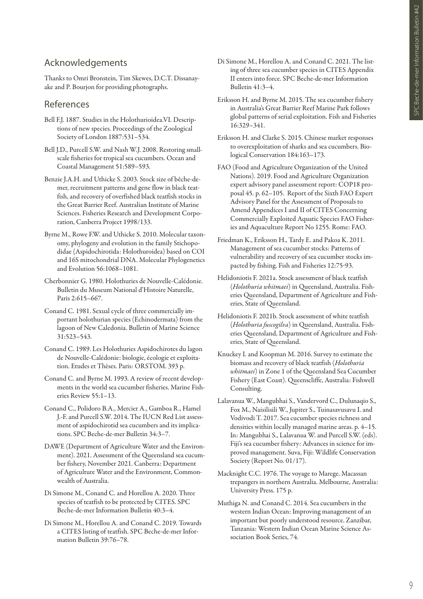# Acknowledgements

Thanks to Omri Bronstein, Tim Skewes, D.C.T. Dissanayake and P. Bourjon for providing photographs.

## References

- Bell F.J. 1887. Studies in the Holothurioidea.VI. Descriptions of new species. Proceedings of the Zoological Society of London 1887:531–534.
- Bell J.D., Purcell S.W. and Nash W.J. 2008. Restoring smallscale fisheries for tropical sea cucumbers. Ocean and Coastal Management 51:589–593.
- Benzie J.A.H. and Uthicke S. 2003. Stock size of bêche-demer, recruitment patterns and gene flow in black teatfish, and recovery of overfished black teatfish stocks in the Great Barrier Reef. Australian Institute of Marine Sciences. Fisheries Research and Development Corporation, Canberra Project 1998/133.
- Byrne M., Rowe F.W. and Uthicke S. 2010. Molecular taxonomy, phylogeny and evolution in the family Stichopodidae (Aspidochirotida: Holothuroidea) based on COI and 16S mitochondrial DNA. Molecular Phylogenetics and Evolution 56:1068–1081.
- Cherbonnier G. 1980. Holothuries de Nouvelle-Calédonie. Bulletin du Museum National d'Histoire Naturelle, Paris 2:615–667.
- Conand C. 1981. Sexual cycle of three commercially important holothurian species (Echinodermata) from the lagoon of New Caledonia. Bulletin of Marine Science 31:523–543.
- Conand C. 1989. Les Holothuries Aspidochirotes du lagon de Nouvelle-Calédonie: biologie, écologie et exploitation. Etudes et Thèses. Paris: ORSTOM. 393 p.
- Conand C. and Byrne M. 1993. A review of recent developments in the world sea cucumber fisheries. Marine Fisheries Review 55:1–13.
- Conand C., Polidoro B.A., Mercier A., Gamboa R., Hamel J.-F. and Purcell S.W. 2014. The IUCN Red List assessment of aspidochirotid sea cucumbers and its implications. SPC Beche-de-mer Bulletin 34:3–7.
- DAWE (Department of Agriculture Water and the Environment). 2021. Assessment of the Queensland sea cucumber fishery, November 2021. Canberra: Department of Agriculture Water and the Environment, Commonwealth of Australia.
- Di Simone M., Conand C. and Horellou A. 2020. Three species of teatfish to be protected by CITES. SPC Beche-de-mer Information Bulletin 40:3–4.
- Di Simone M., Horellou A. and Conand C. 2019. Towards a CITES listing of teatfish. SPC Beche-de-mer Information Bulletin 39:76–78.
- Di Simone M., Horellou A. and Conand C. 2021. The listing of three sea cucumber species in CITES Appendix II enters into force. SPC Beche-de-mer Information Bulletin 41:3–4.
- Eriksson H. and Byrne M. 2015. The sea cucumber fishery in Australia's Great Barrier Reef Marine Park follows global patterns of serial exploitation. Fish and Fisheries 16:329–341.
- Eriksson H. and Clarke S. 2015. Chinese market responses to overexploitation of sharks and sea cucumbers. Biological Conservation 184:163–173.
- FAO (Food and Agriculture Organization of the United Nations). 2019. Food and Agriculture Organization expert advisory panel assessment report: COP18 proposal 45. p. 62–105. Report of the Sixth FAO Expert Advisory Panel for the Assessment of Proposals to Amend Appendices I and II of CITES Concerning Commercially Exploited Aquatic Species FAO Fisheries and Aquaculture Report No 1255. Rome: FAO.
- Friedman K., Eriksson H., Tardy E. and Pakoa K. 2011. Management of sea cucumber stocks: Patterns of vulnerability and recovery of sea cucumber stocks impacted by fishing. Fish and Fisheries 12:75-93.
- Helidoniotis F. 2021a. Stock assessment of black teatfish (*Holothuria whitmaei*) in Queensland, Australia. Fisheries Queensland, Department of Agriculture and Fisheries, State of Queensland.
- Helidoniotis F. 2021b. Stock assessment of white teatfish (*Holothuria fuscogilva*) in Queensland, Australia. Fisheries Queensland, Department of Agriculture and Fisheries, State of Queensland.
- Knuckey I. and Koopman M. 2016. Survey to estimate the biomass and recovery of black teatfish (*Holothuria whitmaei*) in Zone 1 of the Queensland Sea Cucumber Fishery (East Coast). Queenscliffe, Australia: Fishwell Consulting.
- Lalavanua W., Mangubhai S., Vandervord C., Dulunaqio S., Fox M., Naisilisili W., Jupiter S., Tuinasavusavu I. and Vodivodi T. 2017. Sea cucumber species richness and densities within locally managed marine areas. p. 4–15. In: Mangubhai S., Lalavanua W. and Purcell S.W. (eds). Fiji's sea cucumber fishery: Advances in science for improved management. Suva, Fiji: Wildlife Conservation Society (Report No. 01/17).
- Macknight C.C. 1976. The voyage to Marege. Macassan trepangers in northern Australia. Melbourne, Australia: University Press. 175 p.
- Muthiga N. and Conand C. 2014. Sea cucumbers in the western Indian Ocean: Improving management of an important but poorly understood resource. Zanzibar, Tanzania: Western Indian Ocean Marine Science Association Book Series, 74.